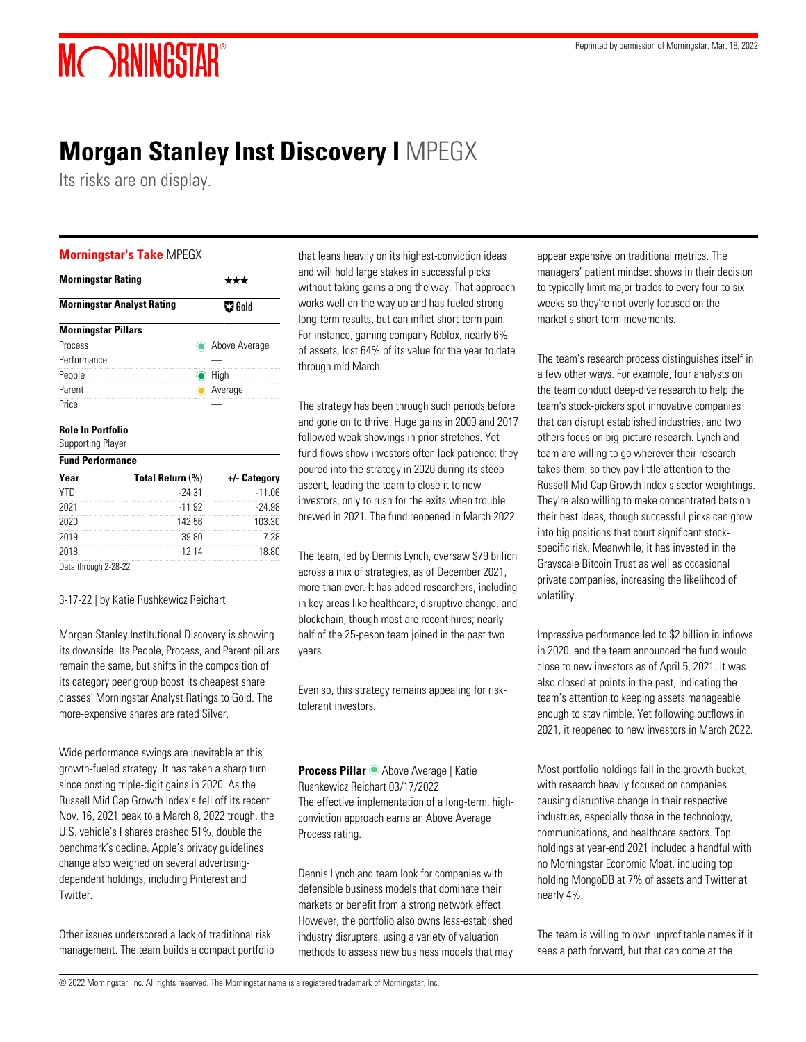# MORNINGSTAR®

# **Morgan Stanley Inst Discovery I** MPEGX

Its risks are on display.

#### **Morningstar's Take** MPEGX

| <b>Morningstar Rating</b>         |               |
|-----------------------------------|---------------|
| <b>Morningstar Analyst Rating</b> | $\nabla$ Gold |
| <b>Morningstar Pillars</b>        |               |
| Process                           | Above Average |
| Performance                       |               |
| People                            | High          |
| Parent                            | Average       |
| Price                             |               |

#### **Role In Portfolio**

Supporting Player

| <b>Fund Performance</b> |                  |              |
|-------------------------|------------------|--------------|
| Year                    | Total Return (%) | +/- Category |
| <b>YTD</b>              | $-24.31$         | $-11.06$     |
| 2021                    | $-11.92$         | $-24.98$     |
| 2020                    | 142.56           | 103.30       |
| 2019                    | 39.80            | 7 28         |
| 2018                    | 12 14            | 18.80        |
|                         |                  |              |

Data through 2-28-22

#### 3-17-22 | by Katie Rushkewicz Reichart

Morgan Stanley Institutional Discovery is showing its downside. Its People, Process, and Parent pillars remain the same, but shifts in the composition of its category peer group boost its cheapest share classes' Morningstar Analyst Ratings to Gold. The more-expensive shares are rated Silver.

Wide performance swings are inevitable at this growth-fueled strategy. It has taken a sharp turn since posting triple-digit gains in 2020. As the Russell Mid Cap Growth Index's fell off its recent Nov. 16, 2021 peak to a March 8, 2022 trough, the U.S. vehicle's I shares crashed 51%, double the benchmark's decline. Apple's privacy guidelines change also weighed on several advertisingdependent holdings, including Pinterest and Twitter.

Other issues underscored a lack of traditional risk management. The team builds a compact portfolio that leans heavily on its highest-conviction ideas and will hold large stakes in successful picks without taking gains along the way. That approach works well on the way up and has fueled strong long-term results, but can inflict short-term pain. For instance, gaming company Roblox, nearly 6% of assets, lost 64% of its value for the year to date through mid March.

The strategy has been through such periods before and gone on to thrive. Huge gains in 2009 and 2017 followed weak showings in prior stretches. Yet fund flows show investors often lack patience; they poured into the strategy in 2020 during its steep ascent, leading the team to close it to new investors, only to rush for the exits when trouble brewed in 2021. The fund reopened in March 2022.

The team, led by Dennis Lynch, oversaw \$79 billion across a mix of strategies, as of December 2021, more than ever. It has added researchers, including in key areas like healthcare, disruptive change, and blockchain, though most are recent hires; nearly half of the 25-peson team joined in the past two years.

Even so, this strategy remains appealing for risktolerant investors.

**Process Pillar** Above Average | Katie Rushkewicz Reichart 03/17/2022 The effective implementation of a long-term, highconviction approach earns an Above Average Process rating.

Dennis Lynch and team look for companies with defensible business models that dominate their markets or benefit from a strong network effect. However, the portfolio also owns less-established industry disrupters, using a variety of valuation methods to assess new business models that may appear expensive on traditional metrics. The managers' patient mindset shows in their decision to typically limit major trades to every four to six weeks so they're not overly focused on the market's short-term movements.

The team's research process distinguishes itself in a few other ways. For example, four analysts on the team conduct deep-dive research to help the team's stock-pickers spot innovative companies that can disrupt established industries, and two others focus on big-picture research. Lynch and team are willing to go wherever their research takes them, so they pay little attention to the Russell Mid Cap Growth Index's sector weightings. They're also willing to make concentrated bets on their best ideas, though successful picks can grow into big positions that court significant stockspecific risk. Meanwhile, it has invested in the Grayscale Bitcoin Trust as well as occasional private companies, increasing the likelihood of volatility.

Impressive performance led to \$2 billion in inflows in 2020, and the team announced the fund would close to new investors as of April 5, 2021. It was also closed at points in the past, indicating the team's attention to keeping assets manageable enough to stay nimble. Yet following outflows in 2021, it reopened to new investors in March 2022.

Most portfolio holdings fall in the growth bucket, with research heavily focused on companies causing disruptive change in their respective industries, especially those in the technology, communications, and healthcare sectors. Top holdings at year-end 2021 included a handful with no Morningstar Economic Moat, including top holding MongoDB at 7% of assets and Twitter at nearly 4%.

The team is willing to own unprofitable names if it sees a path forward, but that can come at the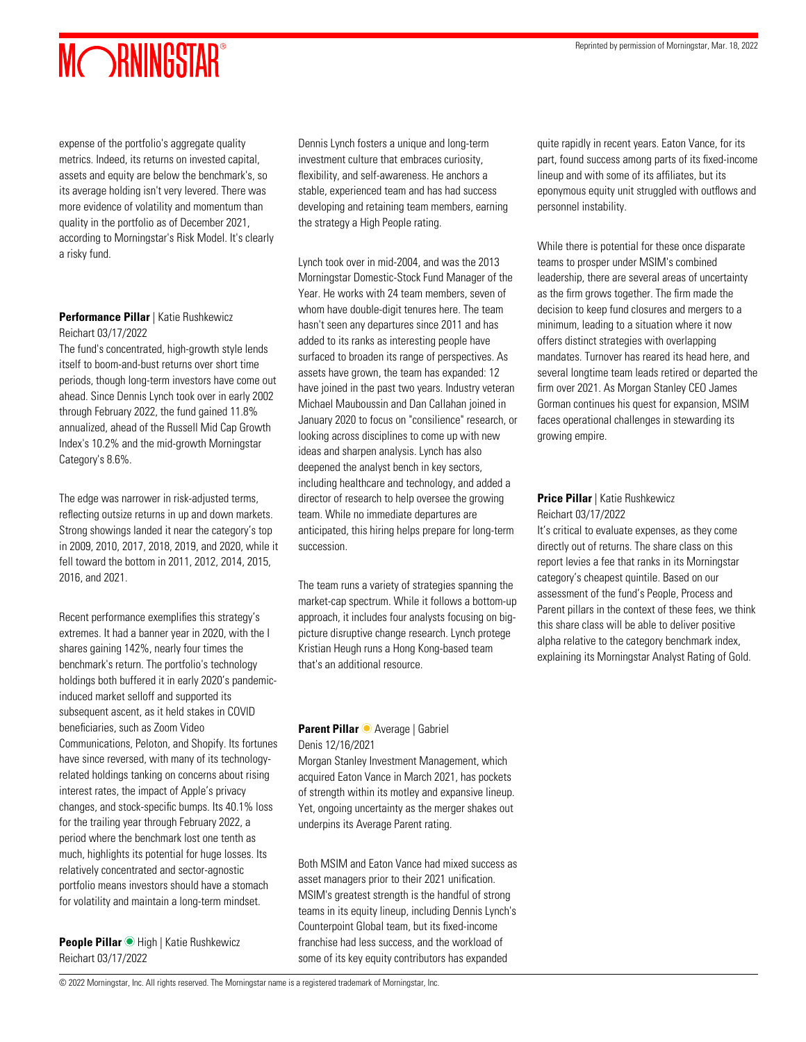# MORNINGSTAR®

expense of the portfolio's aggregate quality metrics. Indeed, its returns on invested capital, assets and equity are below the benchmark's, so its average holding isn't very levered. There was more evidence of volatility and momentum than quality in the portfolio as of December 2021, according to Morningstar's Risk Model. It's clearly a risky fund.

#### **Performance Pillar** | Katie Rushkewicz Reichart 03/17/2022

The fund's concentrated, high-growth style lends itself to boom-and-bust returns over short time periods, though long-term investors have come out ahead. Since Dennis Lynch took over in early 2002 through February 2022, the fund gained 11.8% annualized, ahead of the Russell Mid Cap Growth Index's 10.2% and the mid-growth Morningstar Category's 8.6%.

The edge was narrower in risk-adjusted terms, reflecting outsize returns in up and down markets. Strong showings landed it near the category's top in 2009, 2010, 2017, 2018, 2019, and 2020, while it fell toward the bottom in 2011, 2012, 2014, 2015, 2016, and 2021.

Recent performance exemplifies this strategy's extremes. It had a banner year in 2020, with the I shares gaining 142%, nearly four times the benchmark's return. The portfolio's technology holdings both buffered it in early 2020's pandemicinduced market selloff and supported its subsequent ascent, as it held stakes in COVID beneficiaries, such as Zoom Video Communications, Peloton, and Shopify. Its fortunes have since reversed, with many of its technologyrelated holdings tanking on concerns about rising interest rates, the impact of Apple's privacy changes, and stock-specific bumps. Its 40.1% loss for the trailing year through February 2022, a period where the benchmark lost one tenth as much, highlights its potential for huge losses. Its relatively concentrated and sector-agnostic portfolio means investors should have a stomach for volatility and maintain a long-term mindset.

**People Pillar High | Katie Rushkewicz** Reichart 03/17/2022

Dennis Lynch fosters a unique and long-term investment culture that embraces curiosity, flexibility, and self-awareness. He anchors a stable, experienced team and has had success developing and retaining team members, earning the strategy a High People rating.

Lynch took over in mid-2004, and was the 2013 Morningstar Domestic-Stock Fund Manager of the Year. He works with 24 team members, seven of whom have double-digit tenures here. The team hasn't seen any departures since 2011 and has added to its ranks as interesting people have surfaced to broaden its range of perspectives. As assets have grown, the team has expanded: 12 have joined in the past two years. Industry veteran Michael Mauboussin and Dan Callahan joined in January 2020 to focus on "consilience" research, or looking across disciplines to come up with new ideas and sharpen analysis. Lynch has also deepened the analyst bench in key sectors, including healthcare and technology, and added a director of research to help oversee the growing team. While no immediate departures are anticipated, this hiring helps prepare for long-term succession.

The team runs a variety of strategies spanning the market-cap spectrum. While it follows a bottom-up approach, it includes four analysts focusing on bigpicture disruptive change research. Lynch protege Kristian Heugh runs a Hong Kong-based team that's an additional resource.

#### **Parent Pillar Average | Gabriel** Denis 12/16/2021

Morgan Stanley Investment Management, which acquired Eaton Vance in March 2021, has pockets of strength within its motley and expansive lineup. Yet, ongoing uncertainty as the merger shakes out underpins its Average Parent rating.

Both MSIM and Eaton Vance had mixed success as asset managers prior to their 2021 unification. MSIM's greatest strength is the handful of strong teams in its equity lineup, including Dennis Lynch's Counterpoint Global team, but its fixed-income franchise had less success, and the workload of some of its key equity contributors has expanded

quite rapidly in recent years. Eaton Vance, for its part, found success among parts of its fixed-income lineup and with some of its affiliates, but its eponymous equity unit struggled with outflows and personnel instability.

While there is potential for these once disparate teams to prosper under MSIM's combined leadership, there are several areas of uncertainty as the firm grows together. The firm made the decision to keep fund closures and mergers to a minimum, leading to a situation where it now offers distinct strategies with overlapping mandates. Turnover has reared its head here, and several longtime team leads retired or departed the firm over 2021. As Morgan Stanley CEO James Gorman continues his quest for expansion, MSIM faces operational challenges in stewarding its growing empire.

### **Price Pillar** | Katie Rushkewicz Reichart 03/17/2022

It's critical to evaluate expenses, as they come directly out of returns. The share class on this report levies a fee that ranks in its Morningstar category's cheapest quintile. Based on our assessment of the fund's People, Process and Parent pillars in the context of these fees, we think this share class will be able to deliver positive alpha relative to the category benchmark index, explaining its Morningstar Analyst Rating of Gold.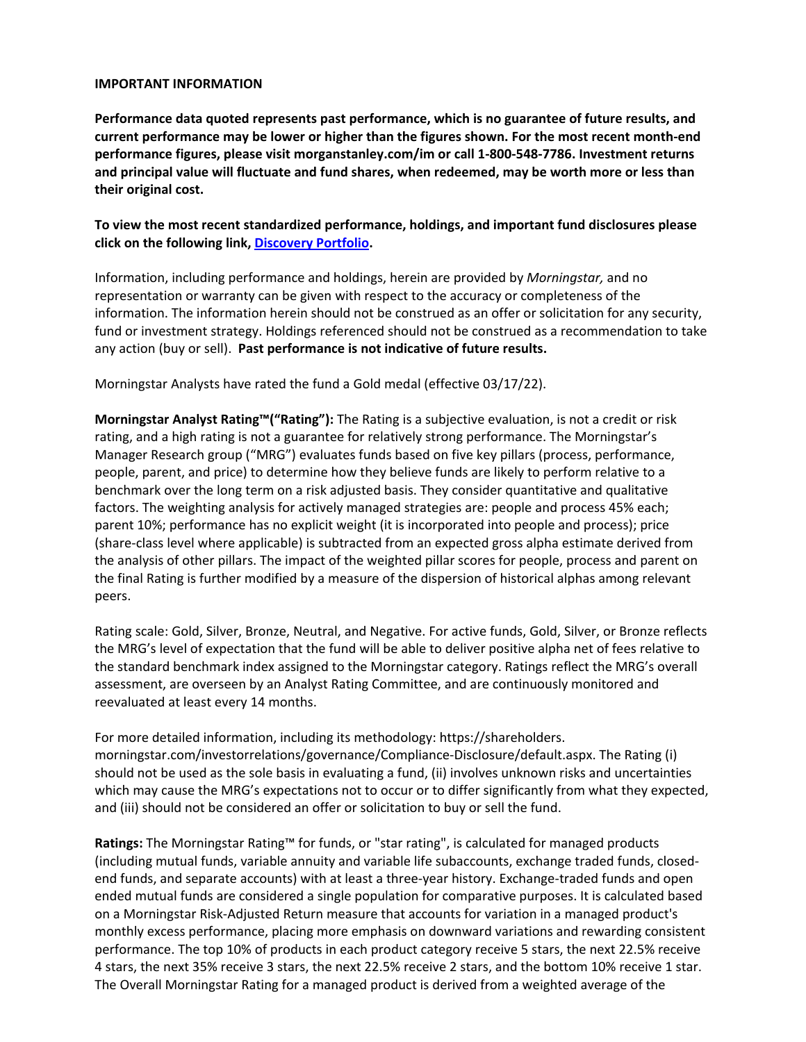#### **IMPORTANT INFORMATION**

**Performance data quoted represents past performance, which is no guarantee of future results, and current performance may be lower or higher than the figures shown. For the most recent month-end performance figures, please visit morganstanley.com/im or call 1-800-548-7786. Investment returns and principal value will fluctuate and fund shares, when redeemed, may be worth more or less than their original cost.**

**To view the most recent standardized performance, holdings, and important fund disclosures please click on the following link, [Discovery Portfolio.](https://www.morganstanley.com/im/en-us/individual-investor/product-and-performance/mutual-funds/us-equity/discovery-portfolio.shareClass.I.html)** 

Information, including performance and holdings, herein are provided by *Morningstar,* and no representation or warranty can be given with respect to the accuracy or completeness of the information. The information herein should not be construed as an offer or solicitation for any security, fund or investment strategy. Holdings referenced should not be construed as a recommendation to take any action (buy or sell). **Past performance is not indicative of future results.** 

Morningstar Analysts have rated the fund a Gold medal (effective 03/17/22).

**Morningstar Analyst Rating™("Rating"):** The Rating is a subjective evaluation, is not a credit or risk rating, and a high rating is not a guarantee for relatively strong performance. The Morningstar's Manager Research group ("MRG") evaluates funds based on five key pillars (process, performance, people, parent, and price) to determine how they believe funds are likely to perform relative to a benchmark over the long term on a risk adjusted basis. They consider quantitative and qualitative factors. The weighting analysis for actively managed strategies are: people and process 45% each; parent 10%; performance has no explicit weight (it is incorporated into people and process); price (share-class level where applicable) is subtracted from an expected gross alpha estimate derived from the analysis of other pillars. The impact of the weighted pillar scores for people, process and parent on the final Rating is further modified by a measure of the dispersion of historical alphas among relevant peers.

Rating scale: Gold, Silver, Bronze, Neutral, and Negative. For active funds, Gold, Silver, or Bronze reflects the MRG's level of expectation that the fund will be able to deliver positive alpha net of fees relative to the standard benchmark index assigned to the Morningstar category. Ratings reflect the MRG's overall assessment, are overseen by an Analyst Rating Committee, and are continuously monitored and reevaluated at least every 14 months.

For more detailed information, including its methodology: https://shareholders. morningstar.com/investorrelations/governance/Compliance-Disclosure/default.aspx. The Rating (i) should not be used as the sole basis in evaluating a fund, (ii) involves unknown risks and uncertainties which may cause the MRG's expectations not to occur or to differ significantly from what they expected, and (iii) should not be considered an offer or solicitation to buy or sell the fund.

**Ratings:** The Morningstar Rating™ for funds, or "star rating", is calculated for managed products (including mutual funds, variable annuity and variable life subaccounts, exchange traded funds, closedend funds, and separate accounts) with at least a three-year history. Exchange-traded funds and open ended mutual funds are considered a single population for comparative purposes. It is calculated based on a Morningstar Risk-Adjusted Return measure that accounts for variation in a managed product's monthly excess performance, placing more emphasis on downward variations and rewarding consistent performance. The top 10% of products in each product category receive 5 stars, the next 22.5% receive 4 stars, the next 35% receive 3 stars, the next 22.5% receive 2 stars, and the bottom 10% receive 1 star. The Overall Morningstar Rating for a managed product is derived from a weighted average of the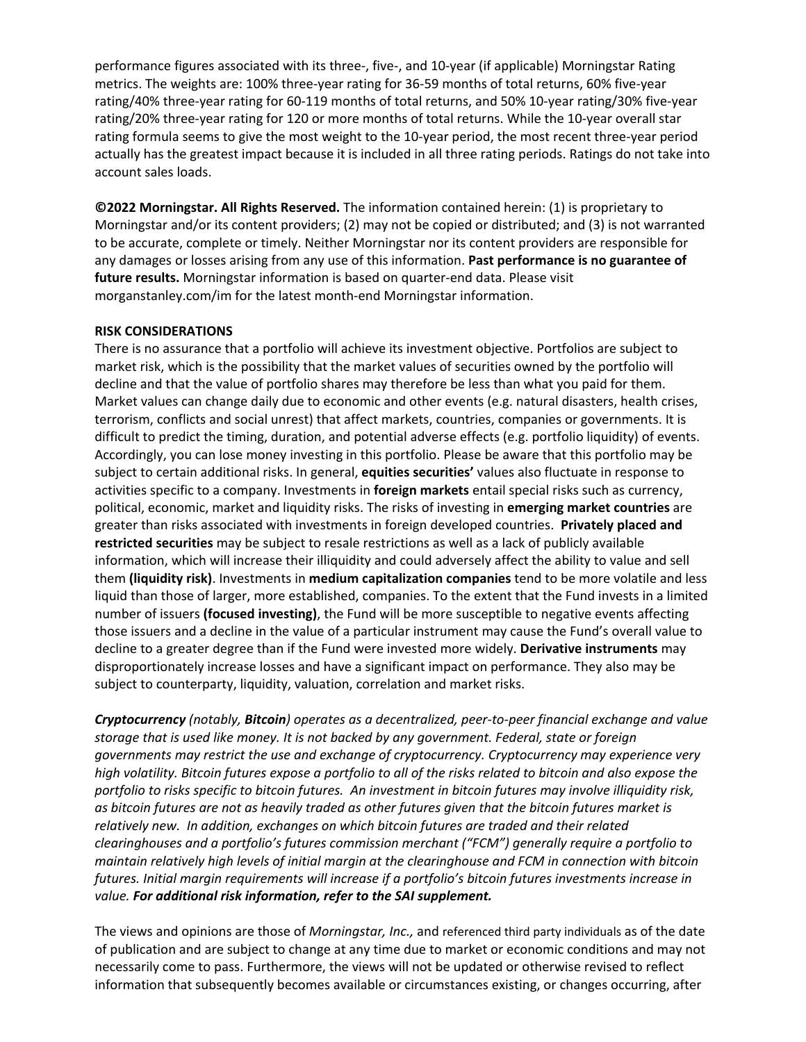performance figures associated with its three-, five-, and 10-year (if applicable) Morningstar Rating metrics. The weights are: 100% three-year rating for 36-59 months of total returns, 60% five-year rating/40% three-year rating for 60-119 months of total returns, and 50% 10-year rating/30% five-year rating/20% three-year rating for 120 or more months of total returns. While the 10-year overall star rating formula seems to give the most weight to the 10-year period, the most recent three-year period actually has the greatest impact because it is included in all three rating periods. Ratings do not take into account sales loads.

**©2022 Morningstar. All Rights Reserved.** The information contained herein: (1) is proprietary to Morningstar and/or its content providers; (2) may not be copied or distributed; and (3) is not warranted to be accurate, complete or timely. Neither Morningstar nor its content providers are responsible for any damages or losses arising from any use of this information. **Past performance is no guarantee of future results.** Morningstar information is based on quarter-end data. Please visit morganstanley.com/im for the latest month-end Morningstar information.

### **RISK CONSIDERATIONS**

There is no assurance that a portfolio will achieve its investment objective. Portfolios are subject to market risk, which is the possibility that the market values of securities owned by the portfolio will decline and that the value of portfolio shares may therefore be less than what you paid for them. Market values can change daily due to economic and other events (e.g. natural disasters, health crises, terrorism, conflicts and social unrest) that affect markets, countries, companies or governments. It is difficult to predict the timing, duration, and potential adverse effects (e.g. portfolio liquidity) of events. Accordingly, you can lose money investing in this portfolio. Please be aware that this portfolio may be subject to certain additional risks. In general, **equities securities'** values also fluctuate in response to activities specific to a company. Investments in **foreign markets** entail special risks such as currency, political, economic, market and liquidity risks. The risks of investing in **emerging market countries** are greater than risks associated with investments in foreign developed countries. **Privately placed and restricted securities** may be subject to resale restrictions as well as a lack of publicly available information, which will increase their illiquidity and could adversely affect the ability to value and sell them **(liquidity risk)**. Investments in **medium capitalization companies** tend to be more volatile and less liquid than those of larger, more established, companies. To the extent that the Fund invests in a limited number of issuers **(focused investing)**, the Fund will be more susceptible to negative events affecting those issuers and a decline in the value of a particular instrument may cause the Fund's overall value to decline to a greater degree than if the Fund were invested more widely. **Derivative instruments** may disproportionately increase losses and have a significant impact on performance. They also may be subject to counterparty, liquidity, valuation, correlation and market risks.

*Cryptocurrency (notably, Bitcoin) operates as a decentralized, peer-to-peer financial exchange and value storage that is used like money. It is not backed by any government. Federal, state or foreign governments may restrict the use and exchange of cryptocurrency. Cryptocurrency may experience very high volatility. Bitcoin futures expose a portfolio to all of the risks related to bitcoin and also expose the portfolio to risks specific to bitcoin futures. An investment in bitcoin futures may involve illiquidity risk, as bitcoin futures are not as heavily traded as other futures given that the bitcoin futures market is relatively new. In addition, exchanges on which bitcoin futures are traded and their related clearinghouses and a portfolio's futures commission merchant ("FCM") generally require a portfolio to maintain relatively high levels of initial margin at the clearinghouse and FCM in connection with bitcoin futures. Initial margin requirements will increase if a portfolio's bitcoin futures investments increase in value. For additional risk information, refer to the SAI supplement.*

The views and opinions are those of *Morningstar, Inc.,* and referenced third party individuals as of the date of publication and are subject to change at any time due to market or economic conditions and may not necessarily come to pass. Furthermore, the views will not be updated or otherwise revised to reflect information that subsequently becomes available or circumstances existing, or changes occurring, after